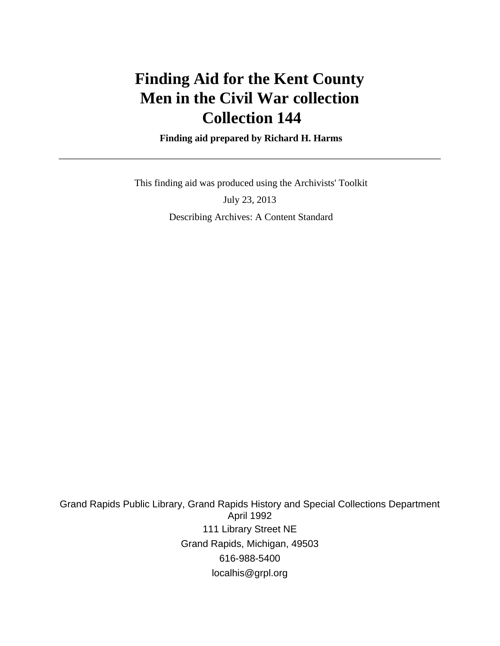# **Finding Aid for the Kent County Men in the Civil War collection Collection 144**

 **Finding aid prepared by Richard H. Harms**

 This finding aid was produced using the Archivists' Toolkit July 23, 2013 Describing Archives: A Content Standard

Grand Rapids Public Library, Grand Rapids History and Special Collections Department April 1992 111 Library Street NE Grand Rapids, Michigan, 49503 616-988-5400 localhis@grpl.org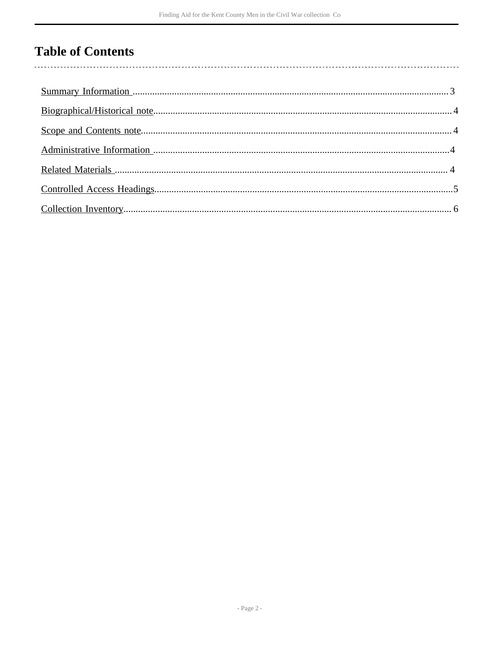# **Table of Contents**

 $\overline{\phantom{a}}$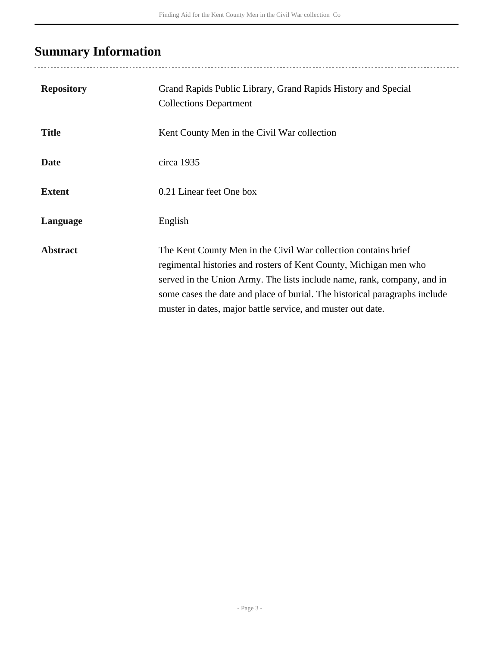# <span id="page-2-0"></span>**Summary Information**

| <b>Repository</b> | Grand Rapids Public Library, Grand Rapids History and Special<br><b>Collections Department</b>                                                                                                                                                                                                                                                              |
|-------------------|-------------------------------------------------------------------------------------------------------------------------------------------------------------------------------------------------------------------------------------------------------------------------------------------------------------------------------------------------------------|
| <b>Title</b>      | Kent County Men in the Civil War collection                                                                                                                                                                                                                                                                                                                 |
| <b>Date</b>       | circa 1935                                                                                                                                                                                                                                                                                                                                                  |
| <b>Extent</b>     | 0.21 Linear feet One box                                                                                                                                                                                                                                                                                                                                    |
| Language          | English                                                                                                                                                                                                                                                                                                                                                     |
| <b>Abstract</b>   | The Kent County Men in the Civil War collection contains brief<br>regimental histories and rosters of Kent County, Michigan men who<br>served in the Union Army. The lists include name, rank, company, and in<br>some cases the date and place of burial. The historical paragraphs include<br>muster in dates, major battle service, and muster out date. |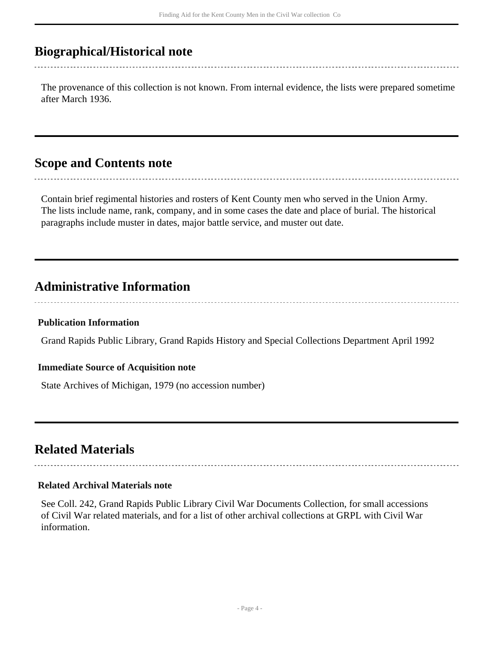## <span id="page-3-0"></span>**Biographical/Historical note**

The provenance of this collection is not known. From internal evidence, the lists were prepared sometime after March 1936.

### <span id="page-3-1"></span>**Scope and Contents note**

Contain brief regimental histories and rosters of Kent County men who served in the Union Army. The lists include name, rank, company, and in some cases the date and place of burial. The historical paragraphs include muster in dates, major battle service, and muster out date.

## <span id="page-3-2"></span>**Administrative Information**

#### **Publication Information**

Grand Rapids Public Library, Grand Rapids History and Special Collections Department April 1992

#### **Immediate Source of Acquisition note**

State Archives of Michigan, 1979 (no accession number)

## <span id="page-3-3"></span>**Related Materials**

#### **Related Archival Materials note**

See Coll. 242, Grand Rapids Public Library Civil War Documents Collection, for small accessions of Civil War related materials, and for a list of other archival collections at GRPL with Civil War information.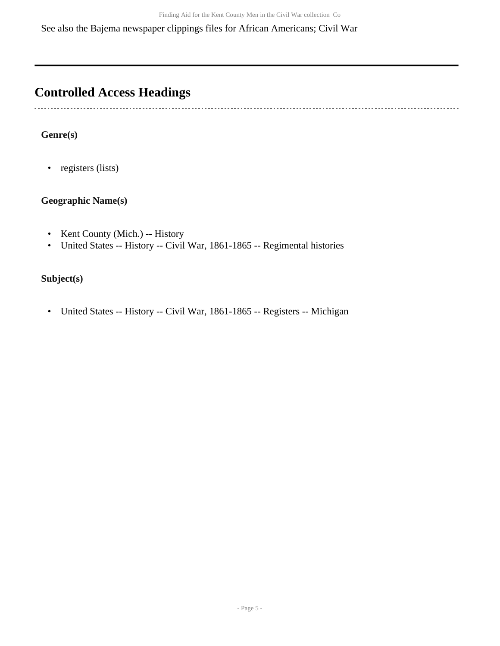See also the Bajema newspaper clippings files for African Americans; Civil War

## <span id="page-4-0"></span>**Controlled Access Headings**

 $\sim$ 

### **Genre(s)**

• registers (lists)

#### **Geographic Name(s)**

- Kent County (Mich.) -- History
- United States -- History -- Civil War, 1861-1865 -- Regimental histories

#### **Subject(s)**

• United States -- History -- Civil War, 1861-1865 -- Registers -- Michigan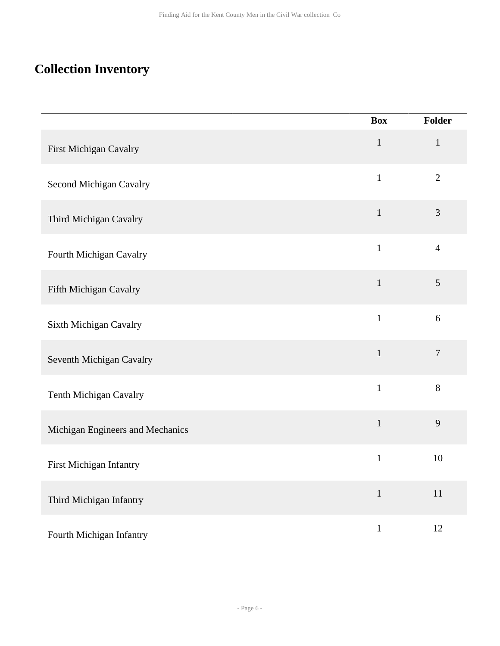## <span id="page-5-0"></span>**Collection Inventory**

|                                  | <b>Box</b>   | Folder         |
|----------------------------------|--------------|----------------|
| First Michigan Cavalry           | $\mathbf{1}$ | $\mathbf{1}$   |
| Second Michigan Cavalry          | $\mathbf{1}$ | $\overline{2}$ |
| Third Michigan Cavalry           | $\mathbf{1}$ | $\mathfrak{Z}$ |
| Fourth Michigan Cavalry          | $\mathbf{1}$ | $\overline{4}$ |
| Fifth Michigan Cavalry           | $\mathbf{1}$ | 5              |
| Sixth Michigan Cavalry           | $\mathbf{1}$ | 6              |
| Seventh Michigan Cavalry         | $\mathbf{1}$ | $\overline{7}$ |
| Tenth Michigan Cavalry           | $\mathbf{1}$ | 8              |
| Michigan Engineers and Mechanics | $\mathbf{1}$ | 9              |
| First Michigan Infantry          | $\mathbf{1}$ | 10             |
| Third Michigan Infantry          | $\mathbf{1}$ | 11             |
| Fourth Michigan Infantry         | $\,1\,$      | 12             |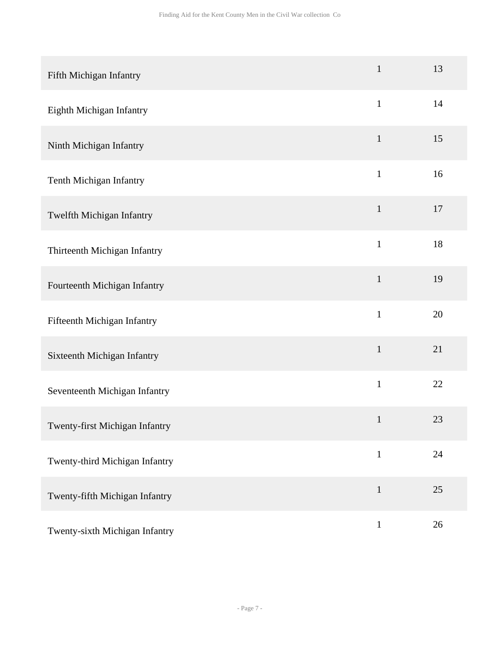| Fifth Michigan Infantry        | $\mathbf{1}$ | 13 |
|--------------------------------|--------------|----|
| Eighth Michigan Infantry       | $\mathbf{1}$ | 14 |
| Ninth Michigan Infantry        | $\mathbf{1}$ | 15 |
| Tenth Michigan Infantry        | $\mathbf{1}$ | 16 |
| Twelfth Michigan Infantry      | $\mathbf{1}$ | 17 |
| Thirteenth Michigan Infantry   | $\mathbf{1}$ | 18 |
| Fourteenth Michigan Infantry   | $\mathbf{1}$ | 19 |
| Fifteenth Michigan Infantry    | $\mathbf{1}$ | 20 |
| Sixteenth Michigan Infantry    | $\mathbf{1}$ | 21 |
| Seventeenth Michigan Infantry  | $\mathbf{1}$ | 22 |
| Twenty-first Michigan Infantry | $\mathbf{1}$ | 23 |
| Twenty-third Michigan Infantry | $\mathbf{1}$ | 24 |
| Twenty-fifth Michigan Infantry | $\mathbf{1}$ | 25 |
| Twenty-sixth Michigan Infantry | $\mathbf{1}$ | 26 |